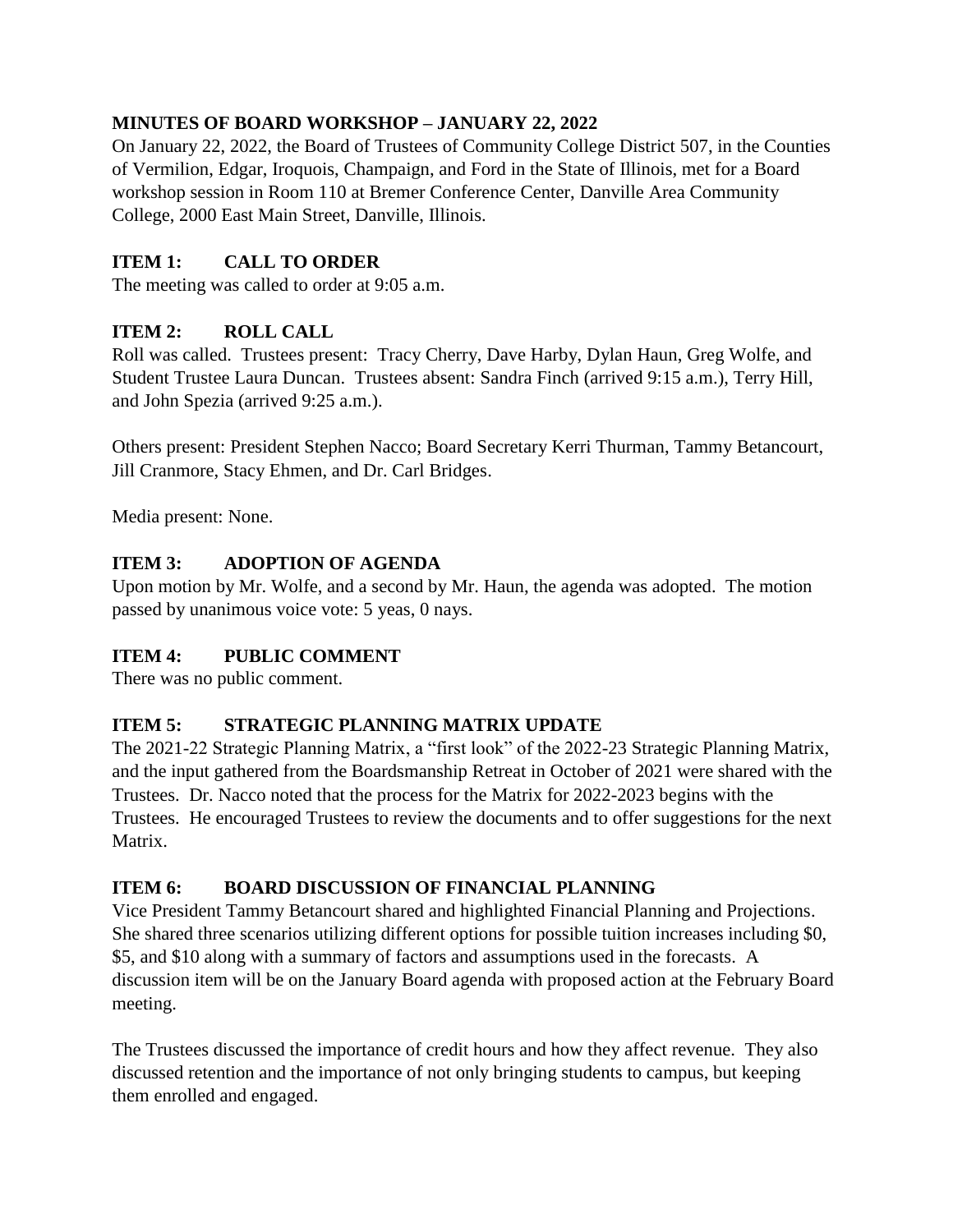# **MINUTES OF BOARD WORKSHOP – JANUARY 22, 2022**

On January 22, 2022, the Board of Trustees of Community College District 507, in the Counties of Vermilion, Edgar, Iroquois, Champaign, and Ford in the State of Illinois, met for a Board workshop session in Room 110 at Bremer Conference Center, Danville Area Community College, 2000 East Main Street, Danville, Illinois.

# **ITEM 1: CALL TO ORDER**

The meeting was called to order at 9:05 a.m.

## **ITEM 2: ROLL CALL**

Roll was called. Trustees present: Tracy Cherry, Dave Harby, Dylan Haun, Greg Wolfe, and Student Trustee Laura Duncan. Trustees absent: Sandra Finch (arrived 9:15 a.m.), Terry Hill, and John Spezia (arrived 9:25 a.m.).

Others present: President Stephen Nacco; Board Secretary Kerri Thurman, Tammy Betancourt, Jill Cranmore, Stacy Ehmen, and Dr. Carl Bridges.

Media present: None.

## **ITEM 3: ADOPTION OF AGENDA**

Upon motion by Mr. Wolfe, and a second by Mr. Haun, the agenda was adopted. The motion passed by unanimous voice vote: 5 yeas, 0 nays.

### **ITEM 4: PUBLIC COMMENT**

There was no public comment.

### **ITEM 5: STRATEGIC PLANNING MATRIX UPDATE**

The 2021-22 Strategic Planning Matrix, a "first look" of the 2022-23 Strategic Planning Matrix, and the input gathered from the Boardsmanship Retreat in October of 2021 were shared with the Trustees. Dr. Nacco noted that the process for the Matrix for 2022-2023 begins with the Trustees. He encouraged Trustees to review the documents and to offer suggestions for the next Matrix.

### **ITEM 6: BOARD DISCUSSION OF FINANCIAL PLANNING**

Vice President Tammy Betancourt shared and highlighted Financial Planning and Projections. She shared three scenarios utilizing different options for possible tuition increases including \$0, \$5, and \$10 along with a summary of factors and assumptions used in the forecasts. A discussion item will be on the January Board agenda with proposed action at the February Board meeting.

The Trustees discussed the importance of credit hours and how they affect revenue. They also discussed retention and the importance of not only bringing students to campus, but keeping them enrolled and engaged.